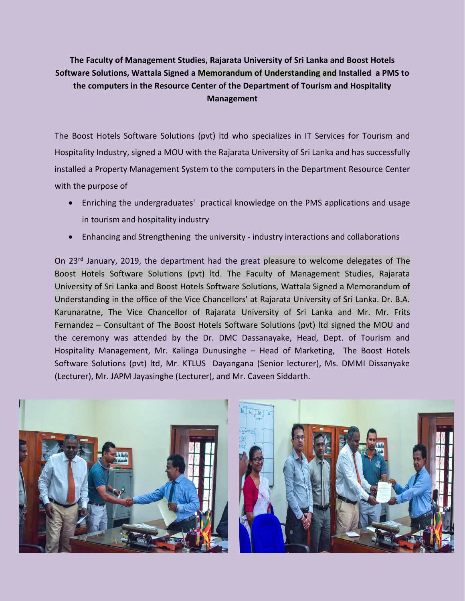**The Faculty of Management Studies, Rajarata University of Sri Lanka and Boost Hotels Software Solutions, Wattala Signed a Memorandum of Understanding and Installed a PMS to the computers in the Resource Center of the Department of Tourism and Hospitality Management**

The Boost Hotels Software Solutions (pvt) ltd who specializes in IT Services for Tourism and Hospitality Industry, signed a MOU with the Rajarata University of Sri Lanka and has successfully installed a Property Management System to the computers in the Department Resource Center with the purpose of

- Enriching the undergraduates' practical knowledge on the PMS applications and usage in tourism and hospitality industry
- Enhancing and Strengthening the university industry interactions and collaborations

On 23rd January, 2019, the department had the great pleasure to welcome delegates of The Boost Hotels Software Solutions (pvt) ltd. The Faculty of Management Studies, Rajarata University of Sri Lanka and Boost Hotels Software Solutions, Wattala Signed a Memorandum of Understanding in the office of the Vice Chancellors' at Rajarata University of Sri Lanka. Dr. B.A. Karunaratne, The Vice Chancellor of Rajarata University of Sri Lanka and Mr. Mr. Frits Fernandez – Consultant of The Boost Hotels Software Solutions (pvt) ltd signed the MOU and the ceremony was attended by the Dr. DMC Dassanayake, Head, Dept. of Tourism and Hospitality Management, Mr. Kalinga Dunusinghe – Head of Marketing, The Boost Hotels Software Solutions (pvt) ltd, Mr. KTLUS Dayangana (Senior lecturer), Ms. DMMI Dissanyake (Lecturer), Mr. JAPM Jayasinghe (Lecturer), and Mr. Caveen Siddarth.